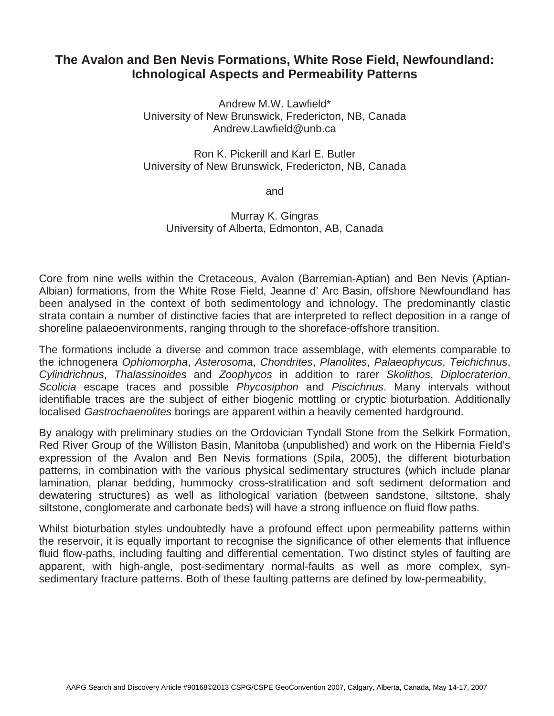## **The Avalon and Ben Nevis Formations, White Rose Field, Newfoundland: Ichnological Aspects and Permeability Patterns**

Andrew M.W. Lawfield\* University of New Brunswick, Fredericton, NB, Canada Andrew.Lawfield@unb.ca

Ron K. Pickerill and Karl E. Butler University of New Brunswick, Fredericton, NB, Canada

and

Murray K. Gingras University of Alberta, Edmonton, AB, Canada

Core from nine wells within the Cretaceous, Avalon (Barremian-Aptian) and Ben Nevis (Aptian-Albian) formations, from the White Rose Field, Jeanne d' Arc Basin, offshore Newfoundland has been analysed in the context of both sedimentology and ichnology. The predominantly clastic strata contain a number of distinctive facies that are interpreted to reflect deposition in a range of shoreline palaeoenvironments, ranging through to the shoreface-offshore transition.

The formations include a diverse and common trace assemblage, with elements comparable to the ichnogenera *Ophiomorpha*, *Asterosoma*, *Chondrites*, *Planolites*, *Palaeophycus*, *Teichichnus*, *Cylindrichnus*, *Thalassinoides* and *Zoophycos* in addition to rarer *Skolithos*, *Diplocraterion*, *Scolicia* escape traces and possible *Phycosiphon* and *Piscichnus*. Many intervals without identifiable traces are the subject of either biogenic mottling or cryptic bioturbation. Additionally localised *Gastrochaenolites* borings are apparent within a heavily cemented hardground.

By analogy with preliminary studies on the Ordovician Tyndall Stone from the Selkirk Formation, Red River Group of the Williston Basin, Manitoba (unpublished) and work on the Hibernia Field's expression of the Avalon and Ben Nevis formations (Spila, 2005), the different bioturbation patterns, in combination with the various physical sedimentary structures (which include planar lamination, planar bedding, hummocky cross-stratification and soft sediment deformation and dewatering structures) as well as lithological variation (between sandstone, siltstone, shaly siltstone, conglomerate and carbonate beds) will have a strong influence on fluid flow paths.

Whilst bioturbation styles undoubtedly have a profound effect upon permeability patterns within the reservoir, it is equally important to recognise the significance of other elements that influence fluid flow-paths, including faulting and differential cementation. Two distinct styles of faulting are apparent, with high-angle, post-sedimentary normal-faults as well as more complex, synsedimentary fracture patterns. Both of these faulting patterns are defined by low-permeability,